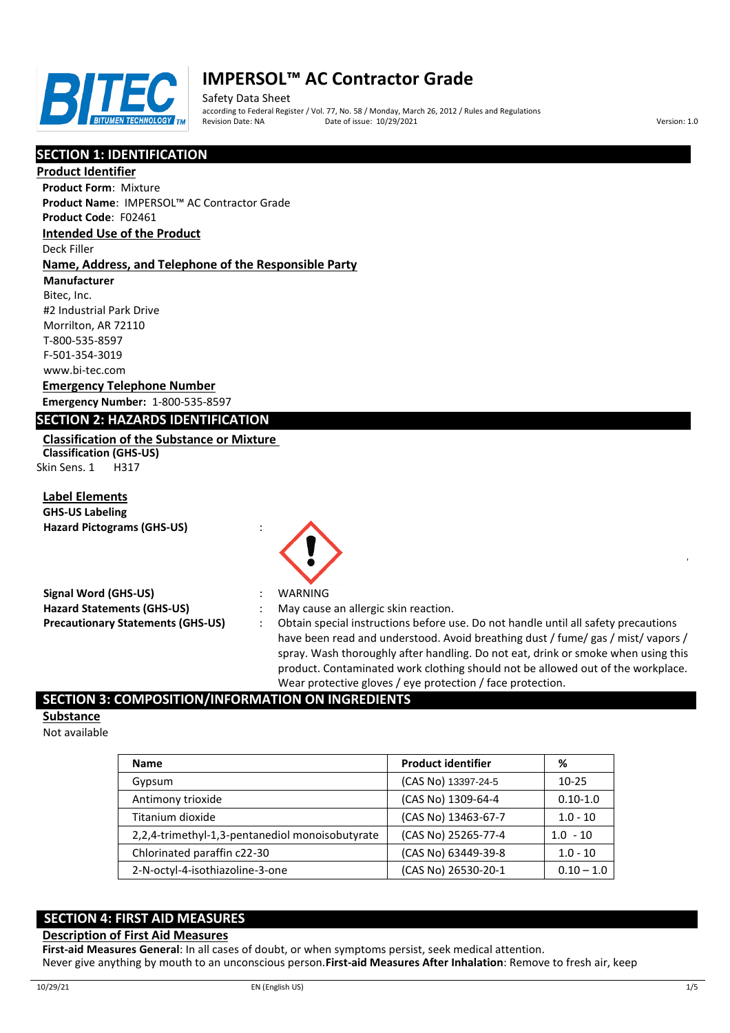

# **IMPERSOL™ AC Contractor Grade**

Safety Data Sheet according to Federal Register / Vol. 77, No. 58 / Monday, March 26, 2012 / Rules and Regulations Pate of issue: 10/29/2021 **Version: 1.0** 

# **SECTION 1: IDENTIFICATION**

#### **Product Identifier**

**Product Form**: Mixture **Product Name**: IMPERSOL™ AC Contractor Grade

**Product Code**: F02461

**Intended Use of the Product**

## Deck Filler

## **Name, Address, and Telephone of the Responsible Party**

**Manufacturer**

Bitec, Inc. #2 Industrial Park Drive Morrilton, AR 72110 T-800-535-8597 F-501-354-3019 www.bi-tec.com

## **Emergency Telephone Number**

**Emergency Number:** 1-800-535-8597

## **SECTION 2: HAZARDS IDENTIFICATION**

## **Classification of the Substance or Mixture**

**Classification (GHS-US)** Skin Sens. 1 H317

**Label Elements**

| <b>GHS-US Labeling</b>            |  |
|-----------------------------------|--|
| <b>Hazard Pictograms (GHS-US)</b> |  |

| <b>Signal Word (GHS-US)</b>              |
|------------------------------------------|
| <b>Hazard Statements (GHS-US)</b>        |
| <b>Precautionary Statements (GHS-US)</b> |

- 
- **Signal Word (GHS-US)** : WARNING
- : May cause an allergic skin reaction.
- Obtain special instructions before use. Do not handle until all safety precautions have been read and understood. Avoid breathing dust / fume/ gas / mist/ vapors / spray. Wash thoroughly after handling. Do not eat, drink or smoke when using this product. Contaminated work clothing should not be allowed out of the workplace. Wear protective gloves / eye protection / face protection.

# **SECTION 3: COMPOSITION/INFORMATION ON INGREDIENTS**

#### **Substance**

Not available

| <b>Name</b>                                     | <b>Product identifier</b> | ℅            |
|-------------------------------------------------|---------------------------|--------------|
| Gypsum                                          | (CAS No) 13397-24-5       | $10 - 25$    |
| Antimony trioxide                               | (CAS No) 1309-64-4        | $0.10 - 1.0$ |
| Titanium dioxide                                | (CAS No) 13463-67-7       | $1.0 - 10$   |
| 2,2,4-trimethyl-1,3-pentanediol monoisobutyrate | (CAS No) 25265-77-4       | $1.0 - 10$   |
| Chlorinated paraffin c22-30                     | (CAS No) 63449-39-8       | $1.0 - 10$   |
| 2-N-octyl-4-isothiazoline-3-one                 | (CAS No) 26530-20-1       | $0.10 - 1.0$ |

# **SECTION 4: FIRST AID MEASURES**

### **Description of First Aid Measures**

**First-aid Measures General**: In all cases of doubt, or when symptoms persist, seek medical attention. Never give anything by mouth to an unconscious person.**First-aid Measures After Inhalation**: Remove to fresh air, keep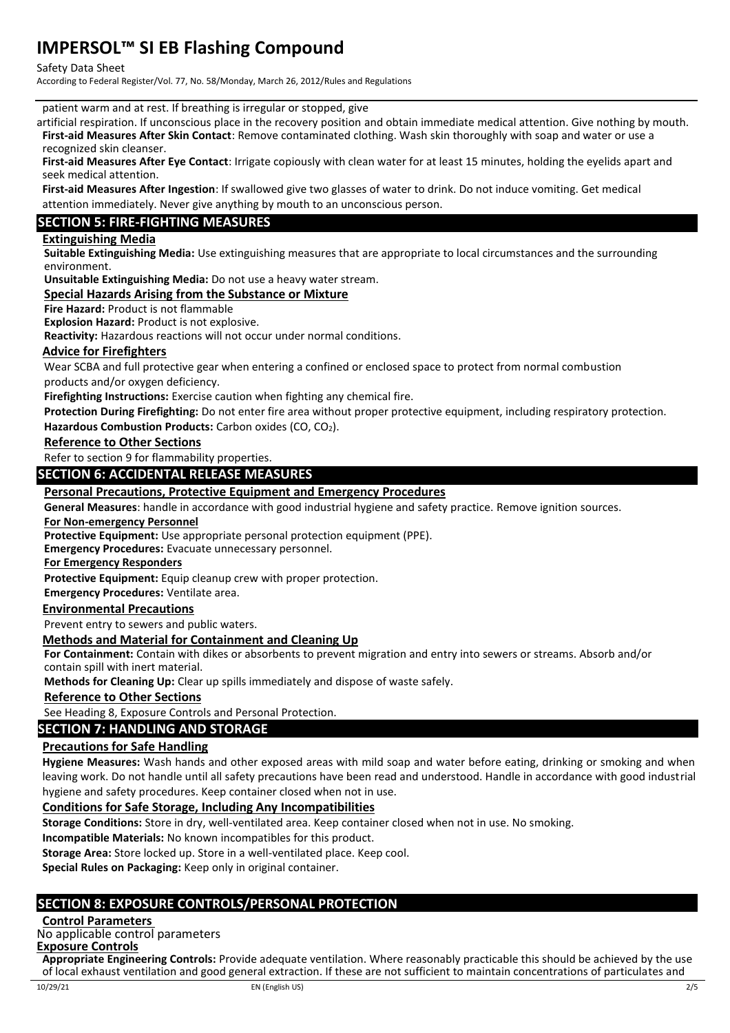#### Safety Data Sheet

According to Federal Register/Vol. 77, No. 58/Monday, March 26, 2012/Rules and Regulations

patient warm and at rest. If breathing is irregular or stopped, give

artificial respiration. If unconscious place in the recovery position and obtain immediate medical attention. Give nothing by mouth. **First-aid Measures After Skin Contact**: Remove contaminated clothing. Wash skin thoroughly with soap and water or use a recognized skin cleanser.

**First-aid Measures After Eye Contact**: Irrigate copiously with clean water for at least 15 minutes, holding the eyelids apart and seek medical attention.

**First-aid Measures After Ingestion**: If swallowed give two glasses of water to drink. Do not induce vomiting. Get medical attention immediately. Never give anything by mouth to an unconscious person.

# **SECTION 5: FIRE-FIGHTING MEASURES**

## **Extinguishing Media**

**Suitable Extinguishing Media:** Use extinguishing measures that are appropriate to local circumstances and the surrounding environment.

## **Unsuitable Extinguishing Media:** Do not use a heavy water stream.

**Special Hazards Arising from the Substance or Mixture**

**Fire Hazard:** Product is not flammable

**Explosion Hazard:** Product is not explosive.

**Reactivity:** Hazardous reactions will not occur under normal conditions.

## **Advice for Firefighters**

Wear SCBA and full protective gear when entering a confined or enclosed space to protect from normal combustion

products and/or oxygen deficiency.

**Firefighting Instructions:** Exercise caution when fighting any chemical fire.

**Protection During Firefighting:** Do not enter fire area without proper protective equipment, including respiratory protection. Hazardous Combustion Products: Carbon oxides (CO, CO<sub>2</sub>).

### **Reference to Other Sections**

Refer to section 9 for flammability properties.

## **SECTION 6: ACCIDENTAL RELEASE MEASURES**

## **Personal Precautions, Protective Equipment and Emergency Procedures**

**General Measures**: handle in accordance with good industrial hygiene and safety practice. Remove ignition sources.

#### **For Non-emergency Personnel**

**Protective Equipment:** Use appropriate personal protection equipment (PPE).

**Emergency Procedures:** Evacuate unnecessary personnel.

**For Emergency Responders**

**Protective Equipment:** Equip cleanup crew with proper protection.

**Emergency Procedures:** Ventilate area.

## **Environmental Precautions**

Prevent entry to sewers and public waters.

### **Methods and Material for Containment and Cleaning Up**

**For Containment:** Contain with dikes or absorbents to prevent migration and entry into sewers or streams. Absorb and/or contain spill with inert material.

**Methods for Cleaning Up:** Clear up spills immediately and dispose of waste safely.

### **Reference to Other Sections**

See Heading 8, Exposure Controls and Personal Protection.

## **SECTION 7: HANDLING AND STORAGE**

### **Precautions for Safe Handling**

**Hygiene Measures:** Wash hands and other exposed areas with mild soap and water before eating, drinking or smoking and when leaving work. Do not handle until all safety precautions have been read and understood. Handle in accordance with good industrial hygiene and safety procedures. Keep container closed when not in use.

### **Conditions for Safe Storage, Including Any Incompatibilities**

**Storage Conditions:** Store in dry, well-ventilated area. Keep container closed when not in use. No smoking.

**Incompatible Materials:** No known incompatibles for this product.

**Storage Area:** Store locked up. Store in a well-ventilated place. Keep cool.

**Special Rules on Packaging:** Keep only in original container.

## **SECTION 8: EXPOSURE CONTROLS/PERSONAL PROTECTION**

### **Control Parameters**

No applicable control parameters

**Exposure Controls**

**Appropriate Engineering Controls:** Provide adequate ventilation. Where reasonably practicable this should be achieved by the use of local exhaust ventilation and good general extraction. If these are not sufficient to maintain concentrations of particulates and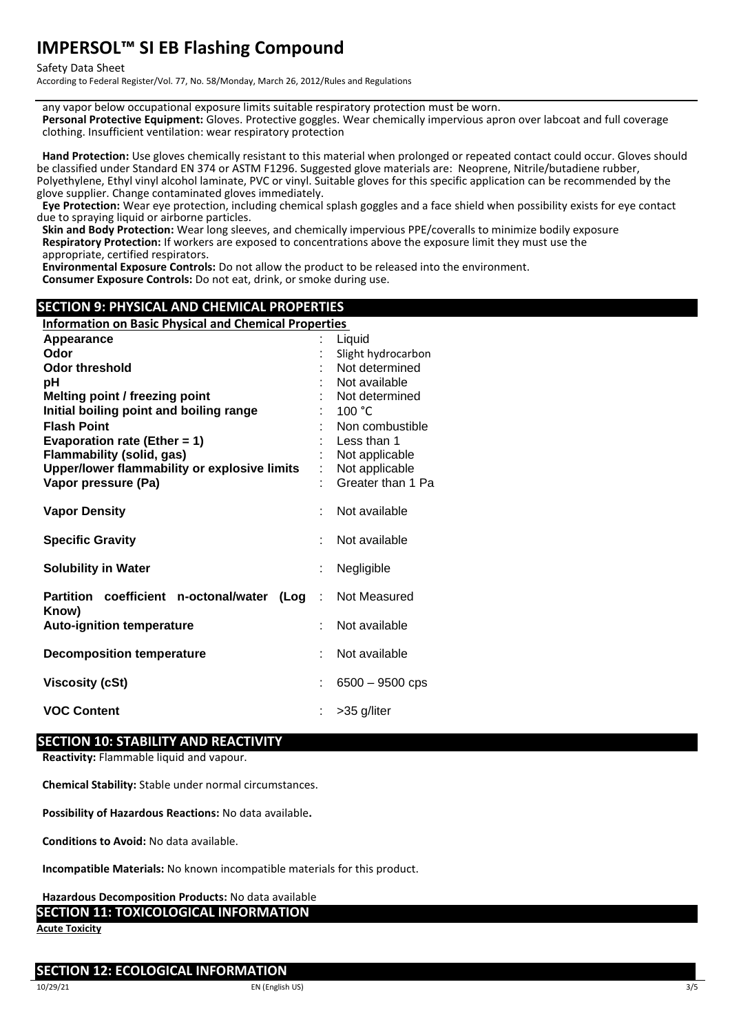Safety Data Sheet

According to Federal Register/Vol. 77, No. 58/Monday, March 26, 2012/Rules and Regulations

any vapor below occupational exposure limits suitable respiratory protection must be worn. **Personal Protective Equipment:** Gloves. Protective goggles. Wear chemically impervious apron over labcoat and full coverage clothing. Insufficient ventilation: wear respiratory protection

**Hand Protection:** Use gloves chemically resistant to this material when prolonged or repeated contact could occur. Gloves should be classified under Standard EN 374 or ASTM F1296. Suggested glove materials are: Neoprene, Nitrile/butadiene rubber, Polyethylene, Ethyl vinyl alcohol laminate, PVC or vinyl. Suitable gloves for this specific application can be recommended by the glove supplier. Change contaminated gloves immediately.

**Eye Protection:** Wear eye protection, including chemical splash goggles and a face shield when possibility exists for eye contact due to spraying liquid or airborne particles.

**Skin and Body Protection:** Wear long sleeves, and chemically impervious PPE/coveralls to minimize bodily exposure **Respiratory Protection:** If workers are exposed to concentrations above the exposure limit they must use the appropriate, certified respirators.

**Environmental Exposure Controls:** Do not allow the product to be released into the environment.

**Consumer Exposure Controls:** Do not eat, drink, or smoke during use.

# **SECTION 9: PHYSICAL AND CHEMICAL PROPERTIES**

| <b>Information on Basic Physical and Chemical Properties</b> |   |                    |  |
|--------------------------------------------------------------|---|--------------------|--|
| Appearance                                                   |   | Liquid             |  |
| Odor                                                         |   | Slight hydrocarbon |  |
| Odor threshold                                               |   | Not determined     |  |
| рH                                                           |   | Not available      |  |
| Melting point / freezing point                               |   | Not determined     |  |
| Initial boiling point and boiling range                      |   | 100 $^{\circ}$ C   |  |
| <b>Flash Point</b>                                           |   | Non combustible    |  |
| Evaporation rate (Ether = 1)                                 |   | Less than 1        |  |
| <b>Flammability (solid, gas)</b>                             |   | Not applicable     |  |
| Upper/lower flammability or explosive limits                 |   | Not applicable     |  |
| Vapor pressure (Pa)                                          |   | Greater than 1 Pa  |  |
| <b>Vapor Density</b>                                         |   | Not available      |  |
|                                                              |   |                    |  |
| <b>Specific Gravity</b>                                      |   | Not available      |  |
| <b>Solubility in Water</b>                                   |   | Negligible         |  |
| Partition coefficient n-octonal/water<br>(Log                | ÷ | Not Measured       |  |
| Know)<br><b>Auto-ignition temperature</b>                    |   | Not available      |  |
| <b>Decomposition temperature</b>                             |   | Not available      |  |
| <b>Viscosity (cSt)</b>                                       |   | $6500 - 9500$ cps  |  |
| <b>VOC Content</b>                                           |   | >35 g/liter        |  |

### **SECTION 10: STABILITY AND REACTIVITY**

**Reactivity:** Flammable liquid and vapour.

**Chemical Stability:** Stable under normal circumstances.

**Possibility of Hazardous Reactions:** No data available**.**

**Conditions to Avoid:** No data available.

**Incompatible Materials:** No known incompatible materials for this product.

**Hazardous Decomposition Products:** No data available

# **SECTION 11: TOXICOLOGICAL INFORMATION**

**Acute Toxicity**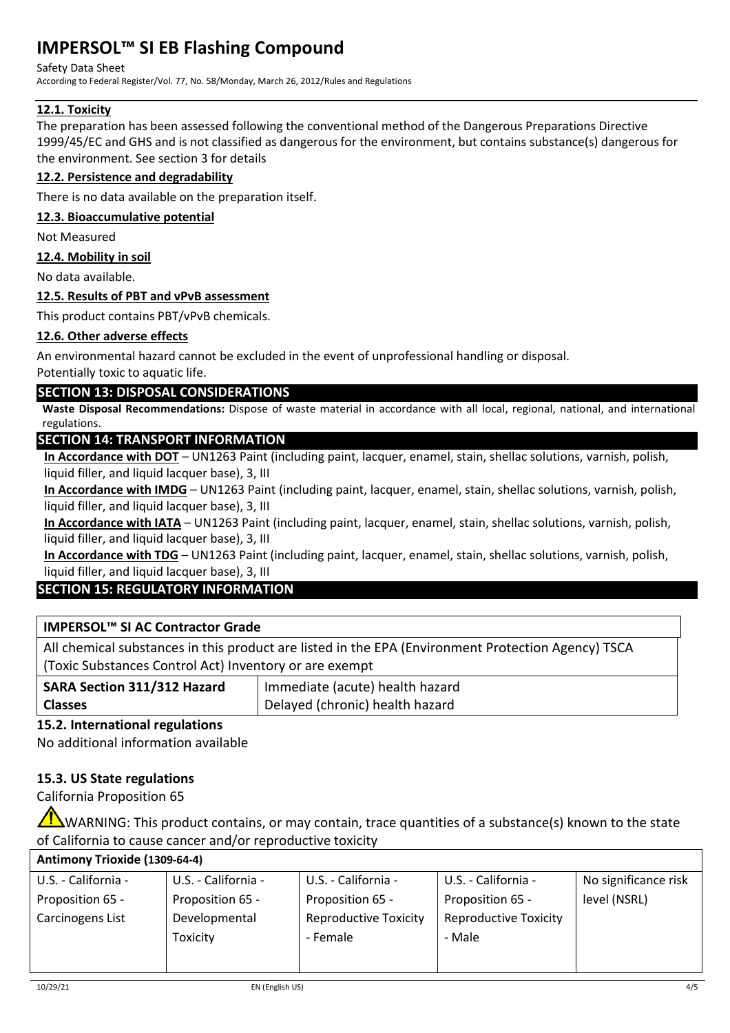## Safety Data Sheet

According to Federal Register/Vol. 77, No. 58/Monday, March 26, 2012/Rules and Regulations

# **12.1. Toxicity**

The preparation has been assessed following the conventional method of the Dangerous Preparations Directive 1999/45/EC and GHS and is not classified as dangerous for the environment, but contains substance(s) dangerous for the environment. See section 3 for details

# **12.2. Persistence and degradability**

There is no data available on the preparation itself.

## **12.3. Bioaccumulative potential**

Not Measured

## **12.4. Mobility in soil**

No data available.

## **12.5. Results of PBT and vPvB assessment**

This product contains PBT/vPvB chemicals.

## **12.6. Other adverse effects**

An environmental hazard cannot be excluded in the event of unprofessional handling or disposal.

# Potentially toxic to aquatic life.

# **SECTION 13: DISPOSAL CONSIDERATIONS**

**Waste Disposal Recommendations:** Dispose of waste material in accordance with all local, regional, national, and international regulations.

# **SECTION 14: TRANSPORT INFORMATION**

**In Accordance with DOT** – UN1263 Paint (including paint, lacquer, enamel, stain, shellac solutions, varnish, polish, liquid filler, and liquid lacquer base), 3, III

**In Accordance with IMDG** – UN1263 Paint (including paint, lacquer, enamel, stain, shellac solutions, varnish, polish, liquid filler, and liquid lacquer base), 3, III

**In Accordance with IATA** – UN1263 Paint (including paint, lacquer, enamel, stain, shellac solutions, varnish, polish, liquid filler, and liquid lacquer base), 3, III

**In Accordance with TDG** – UN1263 Paint (including paint, lacquer, enamel, stain, shellac solutions, varnish, polish, liquid filler, and liquid lacquer base), 3, III

# **SECTION 15: REGULATORY INFORMATION**

# **IMPERSOL™ SI AC Contractor Grade**

All chemical substances in this product are listed in the EPA (Environment Protection Agency) TSCA (Toxic Substances Control Act) Inventory or are exempt

| SARA Section 311/312 Hazard | Immediate (acute) health hazard |
|-----------------------------|---------------------------------|
| <b>Classes</b>              | Delayed (chronic) health hazard |

# **15.2. International regulations**

**15.1. US Federal regulations**

No additional information available

# **15.3. US State regulations**

California Proposition 65

WARNING: This product contains, or may contain, trace quantities of a substance(s) known to the state of California to cause cancer and/or reproductive toxicity

## **Antimony Trioxide (1309-64-4)**

| U.S. - California - | U.S. - California - | U.S. - California -          | U.S. - California -          | No significance risk |
|---------------------|---------------------|------------------------------|------------------------------|----------------------|
| Proposition 65 -    | Proposition 65 -    | Proposition 65 -             | Proposition 65 -             | level (NSRL)         |
| Carcinogens List    | Developmental       | <b>Reproductive Toxicity</b> | <b>Reproductive Toxicity</b> |                      |
|                     | <b>Toxicity</b>     | - Female                     | - Male                       |                      |
|                     |                     |                              |                              |                      |
|                     |                     |                              |                              |                      |